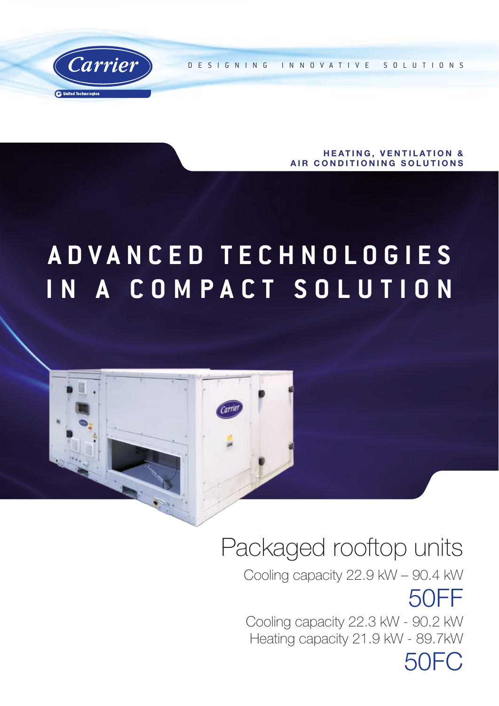

DESIGNING INNOVATIVE SOLUTIONS

**HEATING, VENTILATION &** AIR CONDITIONING SOLUTIONS

# **A D V A N C E D T E C H N O L O G I E S IN A COMPACT SOLUTION**



## Packaged rooftop units

Cooling capacity 22.9 kW – 90.4 kW 50FF Cooling capacity 22.3 kW - 90.2 kW Heating capacity 21.9 kW - 89.7kW 50FC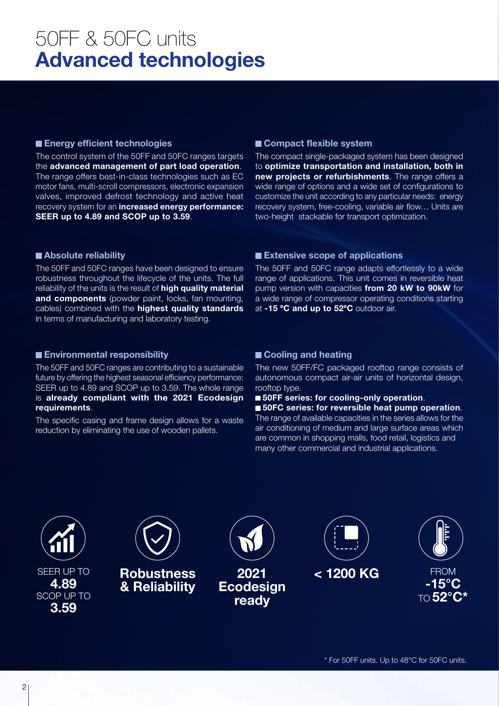## 50FF & 50FC units Advanced technologies

### **Energy efficient technologies**

The control system of the 50FF and 50FC ranges targets the advanced management of part load operation. The range offers best-in-class technologies such as EC motor fans, multi-scroll compressors, electronic expansion valves, improved defrost technology and active heat recovery system for an increased energy performance: SEER up to 4.89 and SCOP up to 3.59.

## ■ Compact flexible system

The compact single-packaged system has been designed to optimize transportation and installation, both in new projects or refurbishments. The range offers a wide range of options and a wide set of configurations to customize the unit according to any particular needs: energy recovery system, free-cooling, variable air flow… Units are two-height stackable for transport optimization.

### ■ Absolute reliability

The 50FF and 50FC ranges have been designed to ensure robustness throughout the lifecycle of the units. The full reliability of the units is the result of high quality material and components (powder paint, locks, fan mounting, cables) combined with the **highest quality standards** in terms of manufacturing and laboratory testing.

### ■ Extensive scope of applications

The 50FF and 50FC range adapts effortlessly to a wide range of applications. This unit comes in reversible heat pump version with capacities from 20 kW to 90kW for a wide range of compressor operating conditions starting at -15 °C and up to 52°C outdoor air.

### **Environmental responsibility**

The 50FF and 50FC ranges are contributing to a sustainable future by offering the highest seasonal efficiency performance: SEER up to 4.89 and SCOP up to 3.59. The whole range is already compliant with the 2021 Ecodesign requirements.

The specific casing and frame design allows for a waste reduction by eliminating the use of wooden pallets.

## ■ Cooling and heating

The new 50FF/FC packaged rooftop range consists of autonomous compact air-air units of horizontal design, rooftop type.

■ 50FF series: for cooling-only operation.

■ 50FC series: for reversible heat pump operation. The range of available capacities in the series allows for the air conditioning of medium and large surface areas which are common in shopping malls, food retail, logistics and many other commercial and industrial applications.

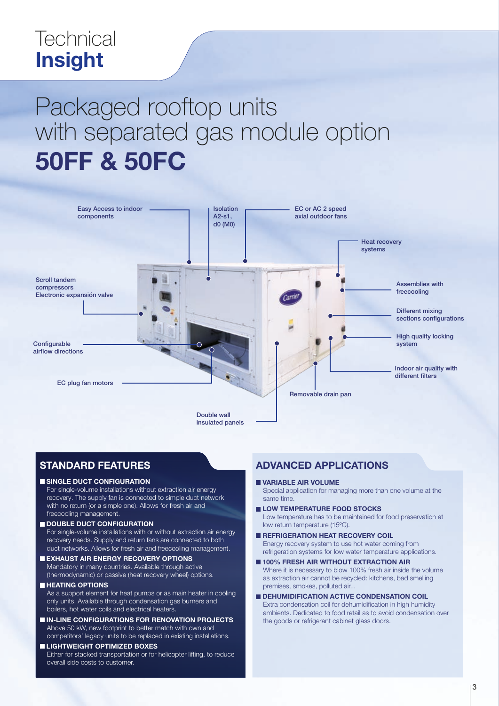## **Technical** Insight

# Packaged rooftop units with separated gas module option 50FF & 50FC



## STANDARD FEATURES

### SINGLE DUCT CONFIGURATION

For single-volume installations without extraction air energy recovery. The supply fan is connected to simple duct network with no return (or a simple one). Allows for fresh air and freecooling management.

#### DOUBLE DUCT CONFIGURATION

For single-volume installations with or without extraction air energy recovery needs. Supply and return fans are connected to both duct networks. Allows for fresh air and freecooling management.

EXHAUST AIR ENERGY RECOVERY OPTIONS Mandatory in many countries. Available through active

(thermodynamic) or passive (heat recovery wheel) options.

### **HEATING OPTIONS**

As a support element for heat pumps or as main heater in cooling only units. Available through condensation gas burners and boilers, hot water coils and electrical heaters.

**IN-LINE CONFIGURATIONS FOR RENOVATION PROJECTS** Above 50 kW, new footprint to better match with own and competitors' legacy units to be replaced in existing installations.

#### **LIGHTWEIGHT OPTIMIZED BOXES** Either for stacked transportation or for helicopter lifting, to reduce overall side costs to customer.

## ADVANCED APPLICATIONS

VARIABLE AIR VOLUME

Special application for managing more than one volume at the same time.

- LOW TEMPERATURE FOOD STOCKS Low temperature has to be maintained for food preservation at low return temperature (15ºC).
- **REFRIGERATION HEAT RECOVERY COIL** Energy recovery system to use hot water coming from refrigeration systems for low water temperature applications.
- **100% FRESH AIR WITHOUT EXTRACTION AIR** Where it is necessary to blow 100% fresh air inside the volume as extraction air cannot be recycled: kitchens, bad smelling premises, smokes, polluted air...
- **DEHUMIDIFICATION ACTIVE CONDENSATION COIL** Extra condensation coil for dehumidification in high humidity ambients. Dedicated to food retail as to avoid condensation over the goods or refrigerant cabinet glass doors.